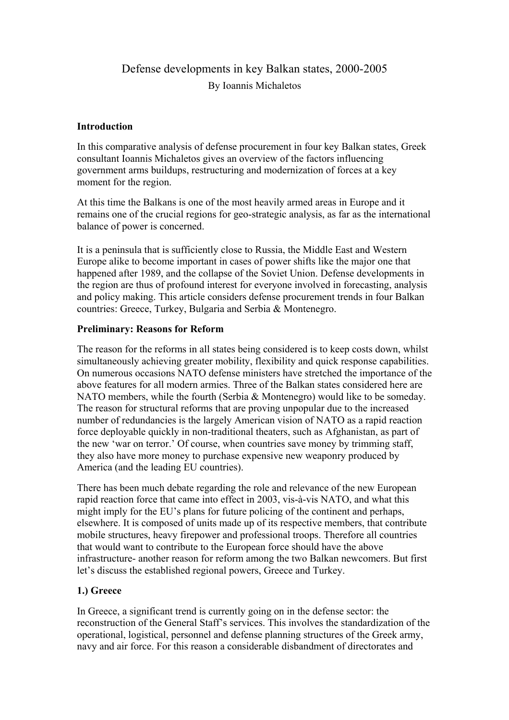# Defense developments in key Balkan states, 2000-2005 By Ioannis Michaletos

## **Introduction**

In this comparative analysis of defense procurement in four key Balkan states, Greek consultant Ioannis Michaletos gives an overview of the factors influencing government arms buildups, restructuring and modernization of forces at a key moment for the region.

At this time the Balkans is one of the most heavily armed areas in Europe and it remains one of the crucial regions for geo-strategic analysis, as far as the international balance of power is concerned.

It is a peninsula that is sufficiently close to Russia, the Middle East and Western Europe alike to become important in cases of power shifts like the major one that happened after 1989, and the collapse of the Soviet Union. Defense developments in the region are thus of profound interest for everyone involved in forecasting, analysis and policy making. This article considers defense procurement trends in four Balkan countries: Greece, Turkey, Bulgaria and Serbia & Montenegro.

# **Preliminary: Reasons for Reform**

The reason for the reforms in all states being considered is to keep costs down, whilst simultaneously achieving greater mobility, flexibility and quick response capabilities. On numerous occasions NATO defense ministers have stretched the importance of the above features for all modern armies. Three of the Balkan states considered here are NATO members, while the fourth (Serbia & Montenegro) would like to be someday. The reason for structural reforms that are proving unpopular due to the increased number of redundancies is the largely American vision of NATO as a rapid reaction force deployable quickly in non-traditional theaters, such as Afghanistan, as part of the new 'war on terror.' Of course, when countries save money by trimming staff, they also have more money to purchase expensive new weaponry produced by America (and the leading EU countries).

There has been much debate regarding the role and relevance of the new European rapid reaction force that came into effect in 2003, vis-à-vis NATO, and what this might imply for the EU's plans for future policing of the continent and perhaps, elsewhere. It is composed of units made up of its respective members, that contribute mobile structures, heavy firepower and professional troops. Therefore all countries that would want to contribute to the European force should have the above infrastructure- another reason for reform among the two Balkan newcomers. But first let's discuss the established regional powers, Greece and Turkey.

# **1.) Greece**

In Greece, a significant trend is currently going on in the defense sector: the reconstruction of the General Staff's services. This involves the standardization of the operational, logistical, personnel and defense planning structures of the Greek army, navy and air force. For this reason a considerable disbandment of directorates and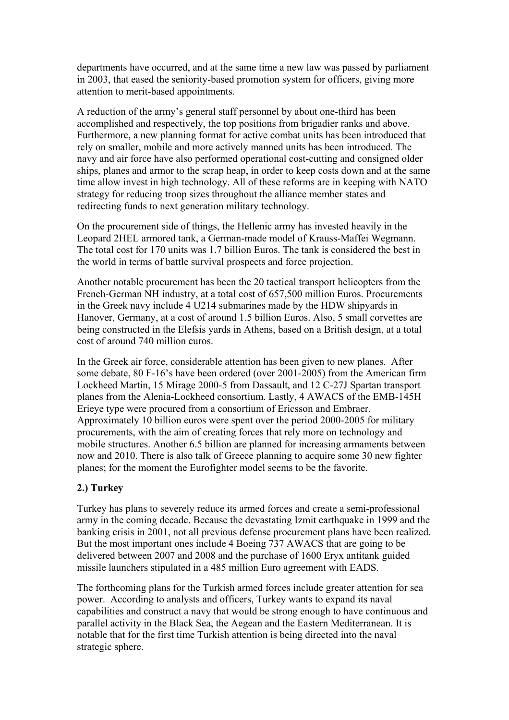departments have occurred, and at the same time a new law was passed by parliament in 2003, that eased the seniority-based promotion system for officers, giving more attention to merit-based appointments.

A reduction of the army's general staff personnel by about one-third has been accomplished and respectively, the top positions from brigadier ranks and above. Furthermore, a new planning format for active combat units has been introduced that rely on smaller, mobile and more actively manned units has been introduced. The navy and air force have also performed operational cost-cutting and consigned older ships, planes and armor to the scrap heap, in order to keep costs down and at the same time allow invest in high technology. All of these reforms are in keeping with NATO strategy for reducing troop sizes throughout the alliance member states and redirecting funds to next generation military technology.

On the procurement side of things, the Hellenic army has invested heavily in the Leopard 2HEL armored tank, a German-made model of Krauss-Maffei Wegmann. The total cost for 170 units was 1.7 billion Euros. The tank is considered the best in the world in terms of battle survival prospects and force projection.

Another notable procurement has been the 20 tactical transport helicopters from the French-German NH industry, at a total cost of 657,500 million Euros. Procurements in the Greek navy include 4 U214 submarines made by the HDW shipyards in Hanover, Germany, at a cost of around 1.5 billion Euros. Also, 5 small corvettes are being constructed in the Elefsis yards in Athens, based on a British design, at a total cost of around 740 million euros.

In the Greek air force, considerable attention has been given to new planes. After some debate, 80 F-16's have been ordered (over 2001-2005) from the American firm Lockheed Martin, 15 Mirage 2000-5 from Dassault, and 12 C-27J Spartan transport planes from the Alenia-Lockheed consortium. Lastly, 4 AWACS of the EMB-145H Erieye type were procured from a consortium of Ericsson and Embraer. Approximately 10 billion euros were spent over the period 2000-2005 for military procurements, with the aim of creating forces that rely more on technology and mobile structures. Another 6.5 billion are planned for increasing armaments between now and 2010. There is also talk of Greece planning to acquire some 30 new fighter planes; for the moment the Eurofighter model seems to be the favorite.

## **2.) Turkey**

Turkey has plans to severely reduce its armed forces and create a semi-professional army in the coming decade. Because the devastating Izmit earthquake in 1999 and the banking crisis in 2001, not all previous defense procurement plans have been realized. But the most important ones include 4 Boeing 737 AWACS that are going to be delivered between 2007 and 2008 and the purchase of 1600 Eryx antitank guided missile launchers stipulated in a 485 million Euro agreement with EADS.

The forthcoming plans for the Turkish armed forces include greater attention for sea power. According to analysts and officers, Turkey wants to expand its naval capabilities and construct a navy that would be strong enough to have continuous and parallel activity in the Black Sea, the Aegean and the Eastern Mediterranean. It is notable that for the first time Turkish attention is being directed into the naval strategic sphere.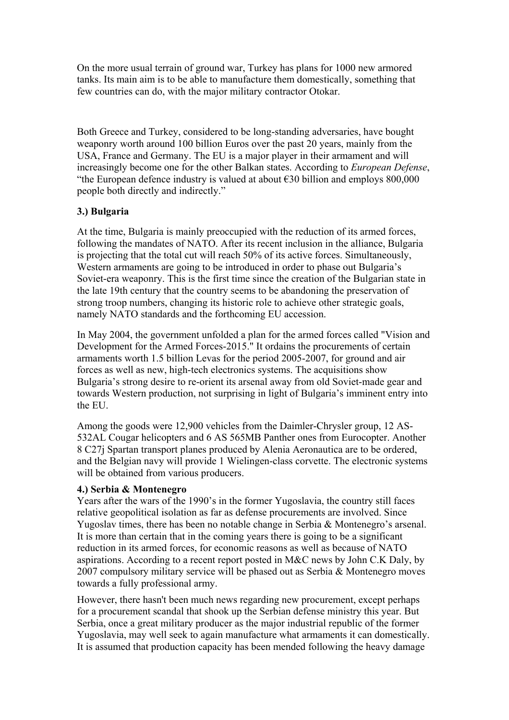On the more usual terrain of ground war, Turkey has plans for 1000 new armored tanks. Its main aim is to be able to manufacture them domestically, something that few countries can do, with the major military contractor Otokar.

Both Greece and Turkey, considered to be long-standing adversaries, have bought weaponry worth around 100 billion Euros over the past 20 years, mainly from the USA, France and Germany. The EU is a major player in their armament and will increasingly become one for the other Balkan states. According to *European Defense*, "the European defence industry is valued at about  $\epsilon$ 30 billion and employs 800,000 people both directly and indirectly."

# **3.) Bulgaria**

At the time, Bulgaria is mainly preoccupied with the reduction of its armed forces, following the mandates of NATO. After its recent inclusion in the alliance, Bulgaria is projecting that the total cut will reach 50% of its active forces. Simultaneously, Western armaments are going to be introduced in order to phase out Bulgaria's Soviet-era weaponry. This is the first time since the creation of the Bulgarian state in the late 19th century that the country seems to be abandoning the preservation of strong troop numbers, changing its historic role to achieve other strategic goals, namely NATO standards and the forthcoming EU accession.

In May 2004, the government unfolded a plan for the armed forces called "Vision and Development for the Armed Forces-2015." It ordains the procurements of certain armaments worth 1.5 billion Levas for the period 2005-2007, for ground and air forces as well as new, high-tech electronics systems. The acquisitions show Bulgaria's strong desire to re-orient its arsenal away from old Soviet-made gear and towards Western production, not surprising in light of Bulgaria's imminent entry into the EU.

Among the goods were 12,900 vehicles from the Daimler-Chrysler group, 12 AS-532AL Cougar helicopters and 6 AS 565MB Panther ones from Eurocopter. Another 8 C27j Spartan transport planes produced by Alenia Aeronautica are to be ordered, and the Belgian navy will provide 1 Wielingen-class corvette. The electronic systems will be obtained from various producers.

## **4.) Serbia & Montenegro**

Years after the wars of the 1990's in the former Yugoslavia, the country still faces relative geopolitical isolation as far as defense procurements are involved. Since Yugoslav times, there has been no notable change in Serbia & Montenegro's arsenal. It is more than certain that in the coming years there is going to be a significant reduction in its armed forces, for economic reasons as well as because of NATO aspirations. According to a recent report posted in M&C news by John C.K Daly, by 2007 compulsory military service will be phased out as Serbia & Montenegro moves towards a fully professional army.

However, there hasn't been much news regarding new procurement, except perhaps for a procurement scandal that shook up the Serbian defense ministry this year. But Serbia, once a great military producer as the major industrial republic of the former Yugoslavia, may well seek to again manufacture what armaments it can domestically. It is assumed that production capacity has been mended following the heavy damage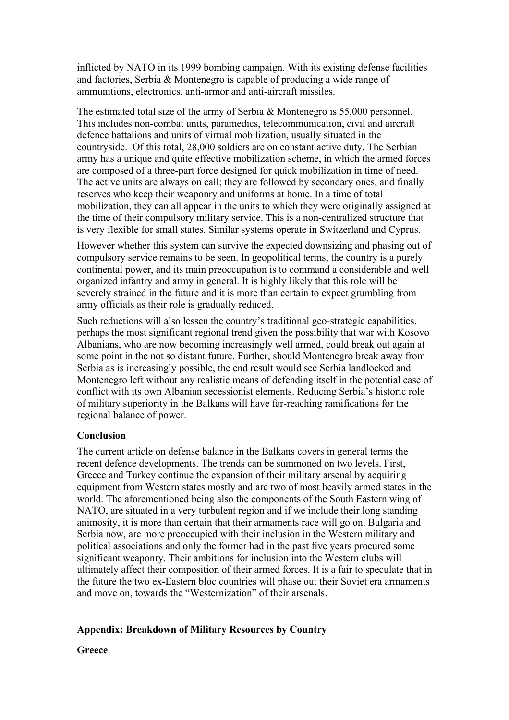inflicted by NATO in its 1999 bombing campaign. With its existing defense facilities and factories, Serbia & Montenegro is capable of producing a wide range of ammunitions, electronics, anti-armor and anti-aircraft missiles.

The estimated total size of the army of Serbia & Montenegro is 55,000 personnel. This includes non-combat units, paramedics, telecommunication, civil and aircraft defence battalions and units of virtual mobilization, usually situated in the countryside. Of this total, 28,000 soldiers are on constant active duty. The Serbian army has a unique and quite effective mobilization scheme, in which the armed forces are composed of a three-part force designed for quick mobilization in time of need. The active units are always on call; they are followed by secondary ones, and finally reserves who keep their weaponry and uniforms at home. In a time of total mobilization, they can all appear in the units to which they were originally assigned at the time of their compulsory military service. This is a non-centralized structure that is very flexible for small states. Similar systems operate in Switzerland and Cyprus.

However whether this system can survive the expected downsizing and phasing out of compulsory service remains to be seen. In geopolitical terms, the country is a purely continental power, and its main preoccupation is to command a considerable and well organized infantry and army in general. It is highly likely that this role will be severely strained in the future and it is more than certain to expect grumbling from army officials as their role is gradually reduced.

Such reductions will also lessen the country's traditional geo-strategic capabilities, perhaps the most significant regional trend given the possibility that war with Kosovo Albanians, who are now becoming increasingly well armed, could break out again at some point in the not so distant future. Further, should Montenegro break away from Serbia as is increasingly possible, the end result would see Serbia landlocked and Montenegro left without any realistic means of defending itself in the potential case of conflict with its own Albanian secessionist elements. Reducing Serbia's historic role of military superiority in the Balkans will have far-reaching ramifications for the regional balance of power.

## **Conclusion**

The current article on defense balance in the Balkans covers in general terms the recent defence developments. The trends can be summoned on two levels. First, Greece and Turkey continue the expansion of their military arsenal by acquiring equipment from Western states mostly and are two of most heavily armed states in the world. The aforementioned being also the components of the South Eastern wing of NATO, are situated in a very turbulent region and if we include their long standing animosity, it is more than certain that their armaments race will go on. Bulgaria and Serbia now, are more preoccupied with their inclusion in the Western military and political associations and only the former had in the past five years procured some significant weaponry. Their ambitions for inclusion into the Western clubs will ultimately affect their composition of their armed forces. It is a fair to speculate that in the future the two ex-Eastern bloc countries will phase out their Soviet era armaments and move on, towards the "Westernization" of their arsenals.

# **Appendix: Breakdown of Military Resources by Country**

**Greece**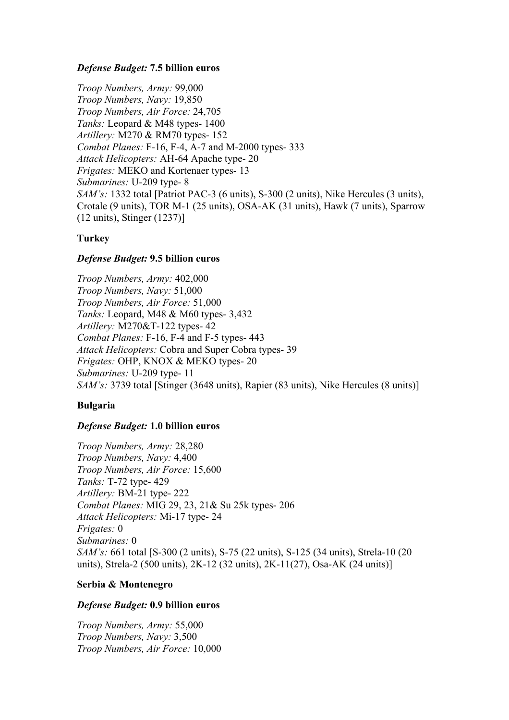## *Defense Budget:* **7.5 billion euros**

*Troop Numbers, Army:* 99,000 *Troop Numbers, Navy:* 19,850 *Troop Numbers, Air Force:* 24,705 *Tanks:* Leopard & M48 types- 1400 *Artillery:* M270 & RM70 types- 152 *Combat Planes:* F-16, F-4, A-7 and M-2000 types- 333 *Attack Helicopters:* AH-64 Apache type- 20 *Frigates:* MEKO and Kortenaer types- 13 *Submarines:* U-209 type- 8 *SAM's:* 1332 total [Patriot PAC-3 (6 units), S-300 (2 units), Nike Hercules (3 units), Crotale (9 units), TOR M-1 (25 units), OSA-AK (31 units), Hawk (7 units), Sparrow (12 units), Stinger (1237)]

# **Turkey**

# *Defense Budget:* **9.5 billion euros**

*Troop Numbers, Army:* 402,000 *Troop Numbers, Navy:* 51,000 *Troop Numbers, Air Force:* 51,000 *Tanks:* Leopard, M48 & M60 types- 3,432 *Artillery:* M270&T-122 types- 42 *Combat Planes:* F-16, F-4 and F-5 types- 443 *Attack Helicopters:* Cobra and Super Cobra types- 39 *Frigates:* OHP, KNOX & MEKO types- 20 *Submarines:* U-209 type- 11 *SAM's:* 3739 total [Stinger (3648 units), Rapier (83 units), Nike Hercules (8 units)]

# **Bulgaria**

# *Defense Budget:* **1.0 billion euros**

*Troop Numbers, Army:* 28,280 *Troop Numbers, Navy:* 4,400 *Troop Numbers, Air Force:* 15,600 *Tanks:* T-72 type- 429 *Artillery:* BM-21 type- 222 *Combat Planes:* MIG 29, 23, 21& Su 25k types- 206 *Attack Helicopters:* Mi-17 type- 24 *Frigates:* 0 *Submarines:* 0 *SAM's:* 661 total [S-300 (2 units), S-75 (22 units), S-125 (34 units), Strela-10 (20 units), Strela-2 (500 units), 2K-12 (32 units), 2K-11(27), Osa-AK (24 units)]

# **Serbia & Montenegro**

## *Defense Budget:* **0.9 billion euros**

*Troop Numbers, Army:* 55,000 *Troop Numbers, Navy:* 3,500 *Troop Numbers, Air Force:* 10,000